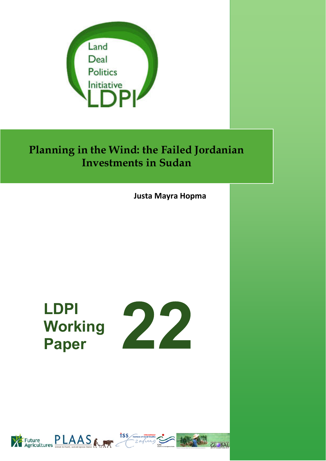

# **Planning in the Wind: the Failed Jordanian Investments in Sudan**

**Justa Mayra Hopma**

# **LDPI Working Paper**





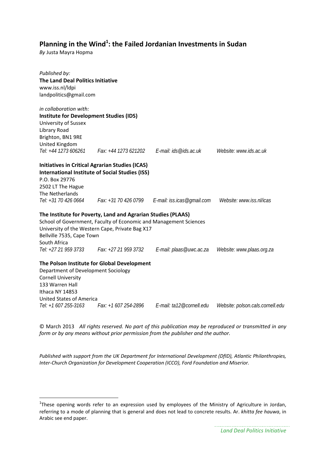### **Planning in the Wind1 : the Failed Jordanian Investments in Sudan**

*By* Justa Mayra Hopma

| Published by:<br>The Land Deal Politics Initiative<br>www.iss.nl/ldpi<br>landpolitics@gmail.com                                                                                 |                                                                                                                                                                                                              |                                                                      |                                  |
|---------------------------------------------------------------------------------------------------------------------------------------------------------------------------------|--------------------------------------------------------------------------------------------------------------------------------------------------------------------------------------------------------------|----------------------------------------------------------------------|----------------------------------|
| in collaboration with:<br><b>Institute for Development Studies (IDS)</b><br>University of Sussex<br>Library Road<br>Brighton, BN1 9RE<br>United Kingdom<br>Tel: +44 1273 606261 | Fax: +44 1273 621202    E-mail: ids@ids.ac.uk                                                                                                                                                                |                                                                      | Website: www.ids.ac.uk           |
| P.O. Box 29776<br>2502 LT The Hague<br>The Netherlands                                                                                                                          | <b>Initiatives in Critical Agrarian Studies (ICAS)</b><br><b>International Institute of Social Studies (ISS)</b>                                                                                             | Tel: +31 70 426 0664 Fax: +31 70 426 0799 E-mail: iss.icas@gmail.com | Website: www.iss.nl/icas         |
| Bellville 7535, Cape Town<br>South Africa<br>Tel: +27 21 959 3733                                                                                                               | The Institute for Poverty, Land and Agrarian Studies (PLAAS)<br>School of Government, Faculty of Economic and Management Sciences<br>University of the Western Cape, Private Bag X17<br>Fax: +27 21 959 3732 | E-mail: plaas@uwc.ac.za                                              | Website: www.plaas.org.za        |
| Department of Development Sociology<br><b>Cornell University</b><br>133 Warren Hall<br>Ithaca NY 14853<br><b>United States of America</b>                                       | The Polson Institute for Global Development                                                                                                                                                                  |                                                                      |                                  |
| Tel: +1 607 255-3163                                                                                                                                                            | Fax: +1 607 254-2896                                                                                                                                                                                         | E-mail: ta12@cornell.edu                                             | Website: polson.cals.cornell.edu |

© March 2013 *All rights reserved. No part of this publication may be reproduced or transmitted in any form or by any means without prior permission from the publisher and the author.*

*Published with support from the UK Department for International Development (DfID), Atlantic Philanthropies, Inter‐Church Organization for Development Cooperation (ICCO), Ford Foundation and Miserior.*

<sup>&</sup>lt;sup>1</sup>These opening words refer to an expression used by employees of the Ministry of Agriculture in Jordan, referring to a mode of planning that is general and does not lead to concrete results. Ar. *khitta fee hauwa*, in Arabic see end paper.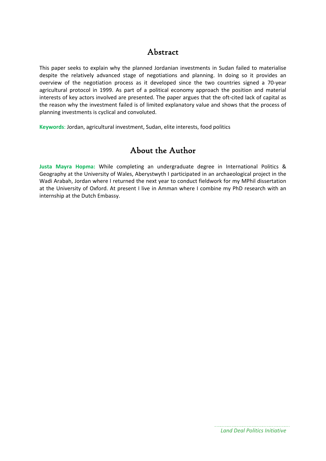## Abstract

This paper seeks to explain why the planned Jordanian investments in Sudan failed to materialise despite the relatively advanced stage of negotiations and planning. In doing so it provides an overview of the negotiation process as it developed since the two countries signed a 70‐year agricultural protocol in 1999. As part of a political economy approach the position and material interests of key actors involved are presented. The paper argues that the oft-cited lack of capital as the reason why the investment failed is of limited explanatory value and shows that the process of planning investments is cyclical and convoluted.

**Keywords**: Jordan, agricultural investment, Sudan, elite interests, food politics

## About the Author

**Justa Mayra Hopma:** While completing an undergraduate degree in International Politics & Geography at the University of Wales, Aberystwyth I participated in an archaeological project in the Wadi Arabah, Jordan where I returned the next year to conduct fieldwork for my MPhil dissertation at the University of Oxford. At present I live in Amman where I combine my PhD research with an internship at the Dutch Embassy.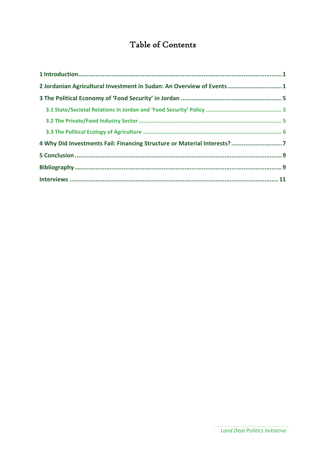## Table of Contents

| 2 Jordanian Agricultural Investment in Sudan: An Overview of Events  1   |  |
|--------------------------------------------------------------------------|--|
|                                                                          |  |
|                                                                          |  |
|                                                                          |  |
|                                                                          |  |
| 4 Why Did Investments Fail: Financing Structure or Material Interests? 7 |  |
|                                                                          |  |
|                                                                          |  |
|                                                                          |  |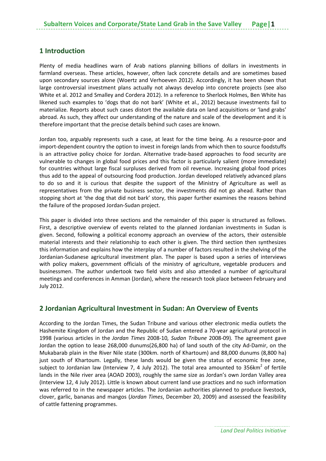#### **1 Introduction**

Plenty of media headlines warn of Arab nations planning billions of dollars in investments in farmland overseas. These articles, however, often lack concrete details and are sometimes based upon secondary sources alone (Woertz and Verhoeven 2012). Accordingly, it has been shown that large controversial investment plans actually not always develop into concrete projects (see also White et al. 2012 and Smalley and Cordera 2012). In a reference to Sherlock Holmes, Ben White has likened such examples to 'dogs that do not bark' (White et al., 2012) because investments fail to materialize*.* Reports about such cases distort the available data on land acquisitions or 'land grabs' abroad. As such, they affect our understanding of the nature and scale of the development and it is therefore important that the precise details behind such cases are known.

Jordan too, arguably represents such a case, at least for the time being. As a resource‐poor and import-dependent country the option to invest in foreign lands from which then to source foodstuffs is an attractive policy choice for Jordan. Alternative trade‐based approaches to food security are vulnerable to changes in global food prices and this factor is particularly salient (more immediate) for countries without large fiscal surpluses derived from oil revenue. Increasing global food prices thus add to the appeal of outsourcing food production. Jordan developed relatively advanced plans to do so and it is curious that despite the support of the Ministry of Agriculture as well as representatives from the private business sector, the investments did not go ahead. Rather than stopping short at 'the dog that did not bark' story, this paper further examines the reasons behind the failure of the proposed Jordan‐Sudan project.

This paper is divided into three sections and the remainder of this paper is structured as follows. First, a descriptive overview of events related to the planned Jordanian investments in Sudan is given. Second, following a political economy approach an overview of the actors, their ostensible material interests and their relationship to each other is given. The third section then synthesizes this information and explains how the interplay of a number of factors resulted in the shelving of the Jordanian‐Sudanese agricultural investment plan. The paper is based upon a series of interviews with policy makers, government officials of the ministry of agriculture, vegetable producers and businessmen. The author undertook two field visits and also attended a number of agricultural meetings and conferences in Amman (Jordan), where the research took place between February and July 2012.

#### **2 Jordanian Agricultural Investment in Sudan: An Overview of Events**

According to the Jordan Times, the Sudan Tribune and various other electronic media outlets the Hashemite Kingdom of Jordan and the Republic of Sudan entered a 70‐year agricultural protocol in 1998 (various articles in the *Jordan Times* 2008‐10*, Sudan Tribune* 2008‐09)*.* The agreement gave Jordan the option to lease 268,000 dunums(26,800 ha) of land south of the city Ad‐Damir, on the Mukabarab plain in the River Nile state (300km. north of Khartoum) and 88,000 dunums (8,800 ha) just south of Khartoum. Legally, these lands would be given the status of economic free zone, subject to Jordanian law (Interview 7, 4 July 2012). The total area amounted to 356km<sup>2</sup> of fertile lands in the Nile river area (AOAD 2003), roughly the same size as Jordan's own Jordan Valley area (Interview 12, 4 July 2012). Little is known about current land use practices and no such information was referred to in the newspaper articles. The Jordanian authorities planned to produce livestock, clover, garlic, bananas and mangos (*Jordan Times*, December 20, 2009) and assessed the feasibility of cattle fattening programmes.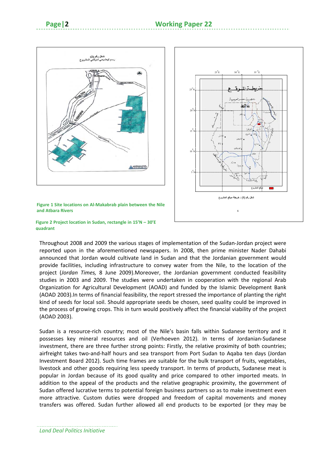



**Figure 1 Site locations on Al‐Makabrab plain between the Nile and Atbara Rivers** 

#### **Figure 2 Project location in Sudan, rectangle in 15'N – 30'E quadrant**

Throughout 2008 and 2009 the various stages of implementation of the Sudan‐Jordan project were reported upon in the aforementioned newspapers. In 2008, then prime minister Nader Dahabi announced that Jordan would cultivate land in Sudan and that the Jordanian government would provide facilities, including infrastructure to convey water from the Nile, to the location of the project (*Jordan Times,* 8 June 2009).Moreover, the Jordanian government conducted feasibility studies in 2003 and 2009. The studies were undertaken in cooperation with the regional Arab Organization for Agricultural Development (AOAD) and funded by the Islamic Development Bank (AOAD 2003).In terms of financial feasibility, the report stressed the importance of planting the right kind of seeds for local soil. Should appropriate seeds be chosen, seed quality could be improved in the process of growing crops. This in turn would positively affect the financial viability of the project (AOAD 2003).

Sudan is a resource-rich country; most of the Nile's basin falls within Sudanese territory and it possesses key mineral resources and oil (Verhoeven 2012). In terms of Jordanian‐Sudanese investment, there are three further strong points: Firstly, the relative proximity of both countries; airfreight takes two-and-half hours and sea transport from Port Sudan to Aqaba ten days (Jordan Investment Board 2012). Such time frames are suitable for the bulk transport of fruits, vegetables, livestock and other goods requiring less speedy transport. In terms of products, Sudanese meat is popular in Jordan because of its good quality and price compared to other imported meats. In addition to the appeal of the products and the relative geographic proximity, the government of Sudan offered lucrative terms to potential foreign business partners so as to make investment even more attractive. Custom duties were dropped and freedom of capital movements and money transfers was offered. Sudan further allowed all end products to be exported (or they may be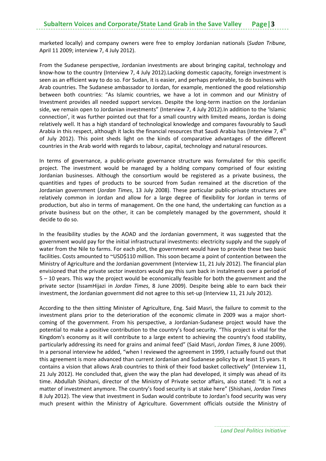marketed locally) and company owners were free to employ Jordanian nationals (*Sudan Tribune,* April 11 2009; interview 7, 4 July 2012).

From the Sudanese perspective, Jordanian investments are about bringing capital, technology and know-how to the country (Interview 7, 4 July 2012). Lacking domestic capacity, foreign investment is seen as an efficient way to do so. For Sudan, it is easier, and perhaps preferable, to do business with Arab countries. The Sudanese ambassador to Jordan, for example, mentioned the good relationship between both countries: "As Islamic countries, we have a lot in common and our Ministry of Investment provides all needed support services. Despite the long‐term inaction on the Jordanian side, we remain open to Jordanian investments" (Interview 7, 4 July 2012).In addition to the 'Islamic connection', it was further pointed out that for a small country with limited means, Jordan is doing relatively well. It has a high standard of technological knowledge and compares favourably to Saudi Arabia in this respect, although it lacks the financial resources that Saudi Arabia has (Interview 7, 4<sup>th</sup> of July 2012). This point sheds light on the kinds of comparative advantages of the different countries in the Arab world with regards to labour, capital, technology and natural resources.

In terms of governance, a public-private governance structure was formulated for this specific project. The investment would be managed by a holding company comprised of four existing Jordanian businesses. Although the consortium would be registered as a private business, the quantities and types of products to be sourced from Sudan remained at the discretion of the Jordanian government (*Jordan Times*, 13 July 2008). These particular public‐private structures are relatively common in Jordan and allow for a large degree of flexibility for Jordan in terms of production, but also in terms of management. On the one hand, the undertaking can function as a private business but on the other, it can be completely managed by the government, should it decide to do so.

In the feasibility studies by the AOAD and the Jordanian government, it was suggested that the government would pay for the initial infrastructural investments: electricity supply and the supply of water from the Nile to farms. For each plot, the government would have to provide these two basic facilities. Costs amounted to ~USD\$110 million. This soon became a point of contention between the Ministry of Agriculture and the Jordanian government (Interview 11, 21 July 2012). The financial plan envisioned that the private sector investors would pay this sum back in instalments over a period of 5 – 10 years. This way the project would be economically feasible for both the government and the private sector (IssamHijazi in *Jordan Times*, 8 June 2009). Despite being able to earn back their investment, the Jordanian government did not agree to this set-up (Interview 11, 21 July 2012).

According to the then sitting Minister of Agriculture, Eng. Said Masri, the failure to commit to the investment plans prior to the deterioration of the economic climate in 2009 was a major shortcoming of the government. From his perspective, a Jordanian‐Sudanese project would have the potential to make a positive contribution to the country's food security. "This project is vital for the Kingdom's economy as it will contribute to a large extent to achieving the country's food stability, particularly addressing its need for grains and animal feed" (Said Masri, *Jordan Times*, 8 June 2009). In a personal interview he added, "when I reviewed the agreement in 1999, I actually found out that this agreement is more advanced than current Jordanian and Sudanese policy by at least 15 years. It contains a vision that allows Arab countries to think of their food basket collectively" (Interview 11, 21 July 2012). He concluded that, given the way the plan had developed, it simply was ahead of its time. Abdullah Shishani, director of the Ministry of Private sector affairs, also stated: "It is not a matter of investment anymore. The country's food security is at stake here" (Shishani, *Jordan Times* 8 July 2012). The view that investment in Sudan would contribute to Jordan's food security was very much present within the Ministry of Agriculture. Government officials outside the Ministry of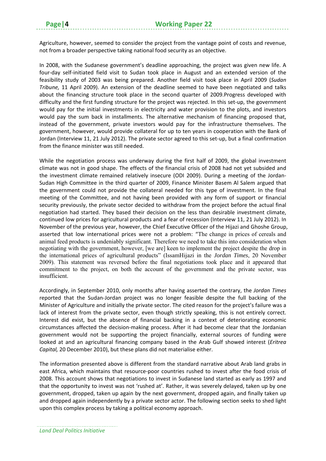Agriculture, however, seemed to consider the project from the vantage point of costs and revenue, not from a broader perspective taking national food security as an objective.

In 2008, with the Sudanese government's deadline approaching, the project was given new life. A four-day self-initiated field visit to Sudan took place in August and an extended version of the feasibility study of 2003 was being prepared. Another field visit took place in April 2009 (*Sudan Tribune,* 11 April 2009). An extension of the deadline seemed to have been negotiated and talks about the financing structure took place in the second quarter of 2009.Progress developed with difficulty and the first funding structure for the project was rejected. In this set‐up, the government would pay for the initial investments in electricity and water provision to the plots, and investors would pay the sum back in installments. The alternative mechanism of financing proposed that, instead of the government, private investors would pay for the infrastructure themselves. The government, however, would provide collateral for up to ten years in cooperation with the Bank of Jordan (Interview 11, 21 July 2012). The private sector agreed to this set‐up, but a final confirmation from the finance minister was still needed.

While the negotiation process was underway during the first half of 2009, the global investment climate was not in good shape. The effects of the financial crisis of 2008 had not yet subsided and the investment climate remained relatively insecure (ODI 2009). During a meeting of the Jordan‐ Sudan High Committee in the third quarter of 2009, Finance Minister Basem Al Salem argued that the government could not provide the collateral needed for this type of investment. In the final meeting of the Committee, and not having been provided with any form of support or financial security previously, the private sector decided to withdraw from the project before the actual final negotiation had started. They based their decision on the less than desirable investment climate, continued low prices for agricultural products and a fear of recession (Interview 11, 21 July 2012). In November of the previous year, however, the Chief Executive Officer of the Hijazi and Ghoshe Group, asserted that low international prices were not a problem: "The change in prices of cereals and animal feed products is undeniably significant. Therefore we need to take this into consideration when negotiating with the government, however, [we are] keen to implement the project despite the drop in the international prices of agricultural products" (IssamHijazi in the *Jordan Times*, 20 November 2009). This statement was reversed before the final negotiations took place and it appeared that commitment to the project, on both the account of the government and the private sector, was insufficient.

Accordingly, in September 2010, only months after having asserted the contrary, the *Jordan Times* reported that the Sudan‐Jordan project was no longer feasible despite the full backing of the Minister of Agriculture and initially the private sector. The cited reason for the project's failure was a lack of interest from the private sector, even though strictly speaking, this is not entirely correct. Interest did exist, but the absence of financial backing in a context of deteriorating economic circumstances affected the decision‐making process. After it had become clear that the Jordanian government would not be supporting the project financially, external sources of funding were looked at and an agricultural financing company based in the Arab Gulf showed interest (*Eritrea Capital,* 20 December 2010), but these plans did not materialise either.

The information presented above is different from the standard narrative about Arab land grabs in east Africa, which maintains that resource‐poor countries rushed to invest after the food crisis of 2008. This account shows that negotiations to invest in Sudanese land started as early as 1997 and that the opportunity to invest was not 'rushed at'. Rather, it was severely delayed, taken up by one government, dropped, taken up again by the next government, dropped again, and finally taken up and dropped again independently by a private sector actor. The following section seeks to shed light upon this complex process by taking a political economy approach.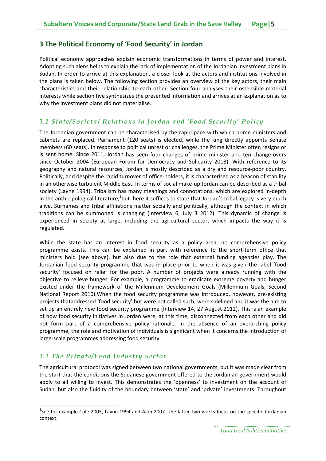#### **3 The Political Economy of 'Food Security' in Jordan**

Political economy approaches explain economic transformations in terms of power and interest. Adopting such alens helps to explain the lack of implementation of the Jordanian investment plans in Sudan. In order to arrive at this explanation, a closer look at the actors and institutions involved in the plans is taken below. The following section provides an overview of the key actors, their main characteristics and their relationship to each other. Section four analyses their ostensible material interests while section five synthesizes the presented information and arrives at an explanation as to why the investment plans did not materialise.

#### *3.1 State/Societal Relations in Jordan and 'Food Security' Policy*

The Jordanian government can be characterised by the rapid pace with which prime ministers and cabinets are replaced. Parliament (120 seats) is elected, while the king directly appoints Senate members (60 seats). In response to political unrest or challenges, the Prime Minister often resigns or is sent home. Since 2011, Jordan has seen four changes of prime minister and ten change-overs since October 2004 (European Forum for Democracy and Solidarity 2013). With reference to its geography and natural resources, Jordan is mostly described as a dry and resource‐poor country. Politically, and despite the rapid turnover of office-holders, it is characterised as a beacon of stability in an otherwise turbulent Middle East. In terms of social make-up Jordan can be described as a tribal society (Layne 1994). Tribalism has many meanings and connotations, which are explored in‐depth in the anthropological literature,<sup>2</sup>but here it suffices to state that Jordan's tribal legacy is very much alive. Surnames and tribal affiliations matter socially and politically, although the context in which traditions can be summoned is changing (Interview 6, July 3 2012). This dynamic of change is experienced in society at large, including the agricultural sector, which impacts the way it is regulated.

While the state has an interest in food security as a policy area, no comprehensive policy programme exists. This can be explained in part with reference to the short‐term office that ministers hold (see above), but also due to the role that external funding agencies play. The Jordanian food security programme that was in place prior to when it was given the label 'food security' focused on relief for the poor. A number of projects were already running with the objective to relieve hunger. For example, a programme to eradicate extreme poverty and hunger existed under the framework of the Millennium Development Goals (Millennium Goals, Second National Report 2010).When the food security programme was introduced, however, pre‐existing projects thataddressed 'food security' but were not called such, were sidelined and it was the aim to set up an entirely new food security programme (Interview 14, 27 August 2012). This is an example of how food security initiatives in Jordan were, at this time, disconnected from each other and did not form part of a comprehensive policy rationale. In the absence of an overarching policy programme, the role and motivation of individuals is significant when it concerns the introduction of large‐scale programmes addressing food security.

#### *3.2 The Private/Food Industry Sector*

The agricultural protocol was signed between two national governments, but it was made clear from the start that the conditions the Sudanese government offered to the Jordanian government would apply to all willing to invest. This demonstrates the 'openness' to investment on the account of Sudan, but also the fluidity of the boundary between 'state' and 'private' investments. Throughout

<sup>&</sup>lt;sup>2</sup>See for example Cole 2003, Layne 1994 and Alon 2007. The latter two works focus on the specific Jordanian context.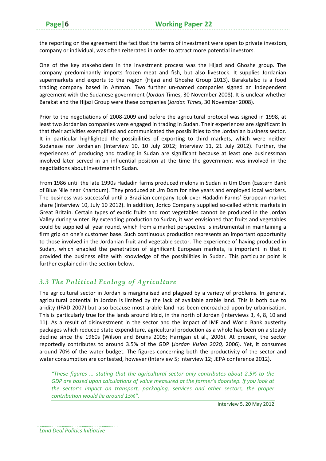the reporting on the agreement the fact that the terms of investment were open to private investors, company or individual, was often reiterated in order to attract more potential investors.

One of the key stakeholders in the investment process was the Hijazi and Ghoshe group. The company predominantly imports frozen meat and fish, but also livestock. It supplies Jordanian supermarkets and exports to the region (Hijazi and Ghoshe Group 2013). Barakatalso is a food trading company based in Amman. Two further un‐named companies signed an independent agreement with the Sudanese government (*Jordan* Times, 30 November 2008). It is unclear whether Barakat and the Hijazi Group were these companies (*Jordan Times*, 30 November 2008).

Prior to the negotiations of 2008‐2009 and before the agricultural protocol was signed in 1998, at least two Jordanian companies were engaged in trading in Sudan. Their experiences are significant in that their activities exemplified and communicated the possibilities to the Jordanian business sector. It in particular highlighted the possibilities of exporting to third markets, which were neither Sudanese nor Jordanian (Interview 10, 10 July 2012; Interview 11, 21 July 2012). Further, the experiences of producing and trading in Sudan are significant because at least one businessman involved later served in an influential position at the time the government was involved in the negotiations about investment in Sudan.

From 1986 until the late 1990s Hadadin farms produced melons in Sudan in Um Dom (Eastern Bank of Blue Nile near Khartoum). They produced at Um Dom for nine years and employed local workers. The business was successful until a Brazilian company took over Hadadin Farms' European market share (Interview 10, July 10 2012). In addition, Jorico Company supplied so-called ethnic markets in Great Britain. Certain types of exotic fruits and root vegetables cannot be produced in the Jordan Valley during winter. By extending production to Sudan, it was envisioned that fruits and vegetables could be supplied all year round, which from a market perspective is instrumental in maintaining a firm grip on one's customer base. Such continuous production represents an important opportunity to those involved in the Jordanian fruit and vegetable sector. The experience of having produced in Sudan, which enabled the penetration of significant European markets, is important in that it provided the business elite with knowledge of the possibilities in Sudan. This particular point is further explained in the section below.

#### *3.3 The Political Ecology of Agriculture*

The agricultural sector in Jordan is marginalised and plagued by a variety of problems. In general, agricultural potential in Jordan is limited by the lack of available arable land. This is both due to aridity (IFAD 2007) but also because most arable land has been encroached upon by urbanisation. This is particularly true for the lands around Irbid, in the north of Jordan (Interviews 3, 4, 8, 10 and 11). As a result of disinvestment in the sector and the impact of IMF and World Bank austerity packages which reduced state expenditure, agricultural production as a whole has been on a steady decline since the 1960s (Wilson and Bruins 2005; Harrigan et al., 2006). At present, the sector reportedly contributes to around 3.5% of the GDP (*Jordan Vision 2020,* 2006). Yet, it consumes around 70% of the water budget. The figures concerning both the productivity of the sector and water consumption are contested, however (Interview 5; Interview 12; JEPA conference 2012).

*"These figures ... stating that the agricultural sector only contributes about 2.5% to the GDP are based upon calculations of value measured at the farmer's doorstep. If you look at the sector's impact on transport, packaging, services and other sectors, the proper contribution would lie around 15%".*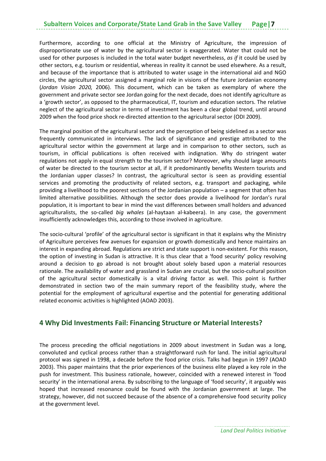Furthermore, according to one official at the Ministry of Agriculture, the impression of disproportionate use of water by the agricultural sector is exaggerated. Water that could not be used for other purposes is included in the total water budget nevertheless, *as if* it could be used by other sectors, e.g. tourism or residential, whereas in reality it cannot be used elsewhere. As a result, and because of the importance that is attributed to water usage in the international aid and NGO circles, the agricultural sector assigned a marginal role in visions of the future Jordanian economy (*Jordan Vision 2020,* 2006). This document, which can be taken as exemplary of where the government and private sector see Jordan going for the next decade, does not identify agriculture as a 'growth sector', as opposed to the pharmaceutical, IT, tourism and education sectors. The relative neglect of the agricultural sector in terms of investment has been a clear global trend, until around 2009 when the food price shock re-directed attention to the agricultural sector (ODI 2009).

The marginal position of the agricultural sector and the perception of being sidelined as a sector was frequently communicated in interviews. The lack of significance and prestige attributed to the agricultural sector within the government at large and in comparison to other sectors, such as tourism, in official publications is often received with indignation. Why do stringent water regulations not apply in equal strength to the tourism sector? Moreover, why should large amounts of water be directed to the tourism sector at all, if it predominantly benefits Western tourists and the Jordanian upper classes? In contrast, the agricultural sector is seen as providing essential services and promoting the productivity of related sectors, e.g. transport and packaging, while providing a livelihood to the poorest sections of the Jordanian population – a segment that often has limited alternative possibilities. Although the sector does provide a livelihood for Jordan's rural population, it is important to bear in mind the vast differences between small holders and advanced agriculturalists, the so-called *big whales* (al-haytaan al-kabeera). In any case, the government insufficiently acknowledges this, according to those involved in agriculture.

The socio-cultural 'profile' of the agricultural sector is significant in that it explains why the Ministry of Agriculture perceives few avenues for expansion or growth domestically and hence maintains an interest in expanding abroad. Regulations are strict and state support is non-existent. For this reason, the option of investing in Sudan is attractive. It is thus clear that a 'food security' policy revolving around a decision to go abroad is not brought about solely based upon a material resources rationale. The availability of water and grassland in Sudan are crucial, but the socio‐cultural position of the agricultural sector domestically is a vital driving factor as well. This point is further demonstrated in section two of the main summary report of the feasibility study, where the potential for the employment of agricultural expertise and the potential for generating additional related economic activities is highlighted (AOAD 2003).

#### **4 Why Did Investments Fail: Financing Structure or Material Interests?**

The process preceding the official negotiations in 2009 about investment in Sudan was a long, convoluted and cyclical process rather than a straightforward rush for land. The initial agricultural protocol was signed in 1998, a decade before the food price crisis. Talks had begun in 1997 (AOAD 2003). This paper maintains that the prior experiences of the business elite played a key role in the push for investment. This business rationale, however, coincided with a renewed interest in 'food security' in the international arena. By subscribing to the language of 'food security', it arguably was hoped that increased resonance could be found with the Jordanian government at large. The strategy, however, did not succeed because of the absence of a comprehensive food security policy at the government level.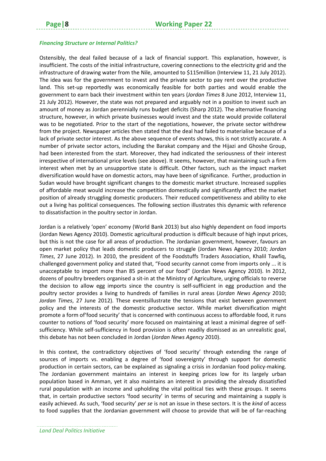#### *Financing Structure or Internal Politics?*

Ostensibly, the deal failed because of a lack of financial support. This explanation, however, is insufficient. The costs of the initial infrastructure, covering connections to the electricity grid and the infrastructure of drawing water from the Nile, amounted to \$115million (Interview 11, 21 July 2012). The idea was for the government to invest and the private sector to pay rent over the productive land. This set‐up reportedly was economically feasible for both parties and would enable the government to earn back their investment within ten years (*Jordan Times* 8 June 2012, Interview 11, 21 July 2012). However, the state was not prepared and arguably not in a position to invest such an amount of money as Jordan perennially runs budget deficits (Sharp 2012). The alternative financing structure, however, in which private businesses would invest and the state would provide collateral was to be negotiated. Prior to the start of the negotiations, however, the private sector withdrew from the project. Newspaper articles then stated that the deal had failed to materialise because of a lack of private sector interest. As the above sequence of events shows, this is not strictly accurate. A number of private sector actors, including the Barakat company and the Hijazi and Ghoshe Group, had been interested from the start. Moreover, they had indicated the seriousness of their interest irrespective of international price levels (see above). It seems, however, that maintaining such a firm interest when met by an unsupportive state is difficult. Other factors, such as the impact market diversification would have on domestic actors, may have been of significance. Further, production in Sudan would have brought significant changes to the domestic market structure. Increased supplies of affordable meat would increase the competition domestically and significantly affect the market position of already struggling domestic producers. Their reduced competitiveness and ability to eke out a living has political consequences. The following section illustrates this dynamic with reference to dissatisfaction in the poultry sector in Jordan.

Jordan is a relatively 'open' economy (World Bank 2013) but also highly dependent on food imports (Jordan News Agency 2010). Domestic agricultural production is difficult because of high input prices, but this is not the case for all areas of production. The Jordanian government, however, favours an open market policy that leads domestic producers to struggle (Jordan News Agency 2010; *Jordan Times*, 27 June 2012). In 2010, the president of the Foodstuffs Traders Association, Khalil Tawfiq, challenged government policy and stated that, "Food security cannot come from imports only ... it is unacceptable to import more than 85 percent of our food" (Jordan News Agency 2010). In 2012, dozens of poultry breeders organised a sit-in at the Ministry of Agriculture, urging officials to reverse the decision to allow egg imports since the country is self‐sufficient in egg production and the poultry sector provides a living to hundreds of families in rural areas (*Jordan News Agency* 2010; *Jordan Times*, 27 June 2012). These eventsillustrate the tensions that exist between government policy and the interests of the domestic productive sector. While market diversification might promote a form of'food security' that is concerned with continuous access to affordable food, it runs counter to notions of 'food security' more focused on maintaining at least a minimal degree of self‐ sufficiency. While self‐sufficiency in food provision is often readily dismissed as an unrealistic goal, this debate has not been concluded in Jordan (*Jordan News Agency* 2010).

In this context, the contradictory objectives of 'food security' through extending the range of sources of imports vs. enabling a degree of 'food sovereignty' through support for domestic production in certain sectors, can be explained as signaling a crisis in Jordanian food policy‐making. The Jordanian government maintains an interest in keeping prices low for its largely urban population based in Amman, yet it also maintains an interest in providing the already dissatisfied rural population with an income and upholding the vital political ties with these groups. It seems that, in certain productive sectors 'food security' in terms of securing and maintaining a supply is easily achieved. As such, 'food security' *per se* is not an issue in these sectors. It is the *kind* of access to food supplies that the Jordanian government will choose to provide that will be of far-reaching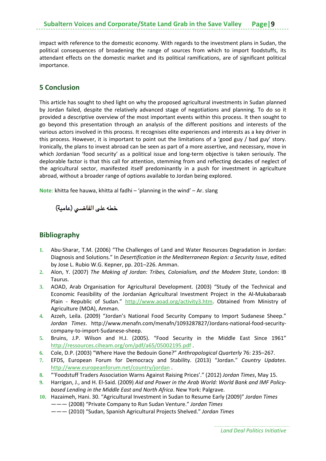impact with reference to the domestic economy. With regards to the investment plans in Sudan, the political consequences of broadening the range of sources from which to import foodstuffs, its attendant effects on the domestic market and its political ramifications, are of significant political importance.

#### **5 Conclusion**

This article has sought to shed light on why the proposed agricultural investments in Sudan planned by Jordan failed, despite the relatively advanced stage of negotiations and planning. To do so it provided a descriptive overview of the most important events within this process. It then sought to go beyond this presentation through an analysis of the different positions and interests of the various actors involved in this process. It recognises elite experiences and interests as a key driver in this process. However, it is important to point out the limitations of a 'good guy / bad guy' story. Ironically, the plans to invest abroad can be seen as part of a more assertive, and necessary, move in which Jordanian 'food security' as a political issue and long-term objective is taken seriously. The deplorable factor is that this call for attention, stemming from and reflecting decades of neglect of the agricultural sector, manifested itself predominantly in a push for investment in agriculture abroad, without a broader range of options available to Jordan being explored.

**Note**: khitta fee hauwa, khitta al fadhi – 'planning in the wind' – Ar. slang

خطه على الفاضي (عامية)

#### **Bibliography**

- **1.** Abu‐Sharar, T.M. (2006) "The Challenges of Land and Water Resources Degradation in Jordan: Diagnosis and Solutions." In *Desertification in the Mediterranean Region: a Security Issue*, edited by Jose L. Rubio W.G. Kepner, pp. 201–226. Amman.
- **2.** Alon, Y. (2007) *The Making of Jordan: Tribes, Colonialism, and the Modem State*, London: IB Taurus.
- **3.** AOAD, Arab Organisation for Agricultural Development. (2003) "Study of the Technical and Economic Feasibility of the Jordanian Agricultural Investment Project in the Al‐Mukabaraab Plain - Republic of Sudan." http://www.aoad.org/activity3.htm. Obtained from Ministry of Agriculture (MOA), Amman.
- **4.** Azzeh, Leila. (2009) "Jordan's National Food Security Company to Import Sudanese Sheep." *Jordan Times*. http://www.menafn.com/menafn/1093287827/Jordans‐national‐food‐security‐ company‐to‐import‐Sudanese‐sheep.
- **5.** Bruins, J.P. Wilson and H.J. (2005). "Food Security in the Middle East Since 1961" http://ressources.ciheam.org/om/pdf/a65/05002195.pdf .
- **6.** Cole, D.P. (2003) "Where Have the Bedouin Gone?" *Anthropological Quarterly* 76: 235–267.
- **7.** EFDS, European Forum for Democracy and Stability. (2013) "Jordan." *Country Updates*. http://www.europeanforum.net/country/jordan .
- **8.** "'Foodstuff Traders Association Warns Against Raising Prices'." (2012) *Jordan Times*, May 15.
- **9.** Harrigan, J., and H. El‐Said. (2009) *Aid and Power in the Arab World: World Bank and IMF Policy‐ based Lending in the Middle East and North Africa*. New York: Palgrave.
- **10.** Hazaimeh, Hani. 30. "Agricultural Investment in Sudan to Resume Early (2009)" *Jordan Times* ——— (2008) "Private Company to Run Sudan Venture." *Jordan Times*
	- ——— (2010) "Sudan, Spanish Agricultural Projects Shelved." *Jordan Times*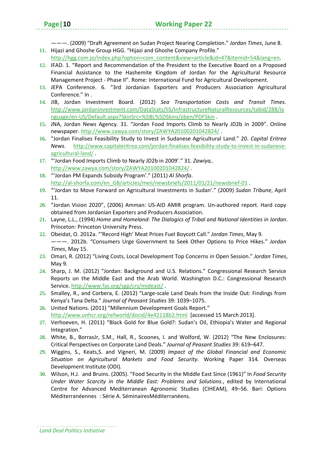———. (2009) "Draft Agreement on Sudan Project Nearing Completion." *Jordan Times*, June 8. **11.** Hijazi and Ghoshe Group HGG. "Hijazi and Ghoshe Company Profile."

- http://hgg.com.jo/index.php?option=com\_content&view=article&id=47&Itemid=54&lang=en.
- **12.** IFAD. 1. "Report and Recommendation of the President to the Executive Board on a Proposed Financial Assistance to the Hashemite Kingdom of Jordan for the Agricultural Resource Management Project ‐ Phase II". Rome: International Fund for Agricultural Development.
- **13.** JEPA Conference. 6. "3rd Jordanian Exporters and Producers Association Agricultural Conference." In .
- **14.** JIB, Jordan Investment Board. (2012) *Sea Transportation Costs and Transit Times*. http://www.jordaninvestment.com/DataStats/IIS/InfrastructureNaturalResources/tabid/288/la nguage/en‐US/Default.aspx?SkinSrc=%5BL%5DSkins/jiben/PDFSkin .
- **15.** JNA, Jordan News Agency. 31. "Jordan Food Imports Climb to Nearly JD2b in 2009". Online newspaper. http://www.zawya.com/story/ZAWYA20100201042824/ .
- **16.** "Jordan Finalises Feasibility Study to Invest in Sudanese Agricultural Land." 20. *Capital Eritrea News*. http://www.capitaleritrea.com/jordan‐finalises‐feasibility‐study‐to‐invest‐in‐sudanese‐ agricultural‐land/ .
- **17.** "'Jordan Food Imports Climb to Nearly JD2b in 2009'." 31. *Zawiya,*. http://www.zawya.com/story/ZAWYA20100201042824/ .
- **18.** "'Jordan PM Expands Subsidy Program'." (2011) *Al Shorfa*. http://al-shorfa.com/en\_GB/articles/meii/newsbriefs/2011/01/21/newsbrief-01.
- **19.** "'Jordan to Move Forward on Agricultural Investments in Sudan'." (2009) *Sudan Tribune*, April 11.
- **20.** "Jordan Vision 2020", (2006) Amman: US‐AID AMIR program. Un‐authored report. Hard copy obtained from Jordanian Exporters and Producers Association.
- **21.** Layne, L.L., (1994) *Home and Homeland: The Dialogics of Tribal and National Identities in Jordan*. Princeton: Princeton University Press.
- **22.** Obeidat, O. 2012a. "'Record High' Meat Prices Fuel Boycott Call." *Jordan Times*, May 9. ———. 2012b. "Consumers Urge Government to Seek Other Options to Price Hikes." *Jordan Times*, May 15.
- **23.** Omari, R. (2012) "Living Costs, Local Development Top Concerns in Open Session." *Jordan Times*, May 9.
- **24.** Sharp, J. M. (2012) "Jordan: Background and U.S. Relations." Congressional Research Service Reports on the Middle East and the Arab World. Washington D.C.: Congressional Research Service. http://www.fas.org/sgp/crs/mideast/ .
- **25.** Smalley, R., and Corbera, E. (2012) "Large‐scale Land Deals from the Inside Out: Findings from Kenya's Tana Delta." *Journal of Peasant Studies* 39: 1039–1075.
- **26.** United Nations. (2011) "Millennium Development Goals Report." http://www.unhcr.org/refworld/docid/4e42118b2.html [accessed 15 March 2013].
- **27.** Verhoeven, H. (2011) "Black Gold for Blue Gold?: Sudan's Oil, Ethiopia's Water and Regional Integration."
- **28.** White, B., BorrasJr, S.M., Hall, R., Scoones, I. and Wolford, W. (2012) "The New Enclosures: Critical Perspectives on Corporate Land Deals." *Journal of Peasant Studies* 39: 619–647.
- **29.** Wiggins, S., Keats,S. and Vigneri, M. (2009) *Impact of the Global Financial and Economic Situation on Agricultural Markets and Food Security*. Working Paper 314. Overseas Development Institute (ODI).
- **30.** Wilson, H.J. and Bruins. (2005). "Food Security in the Middle East Since (1961)" In *Food Security Under Water Scarcity in the Middle East: Problems and Solutions.*, edited by International Centre for Advanced Mediterranean Agronomic Studies (CIHEAM), 49–56. Bari: Options Méditerranéennes: Série A. SéminairesMéditerranéens.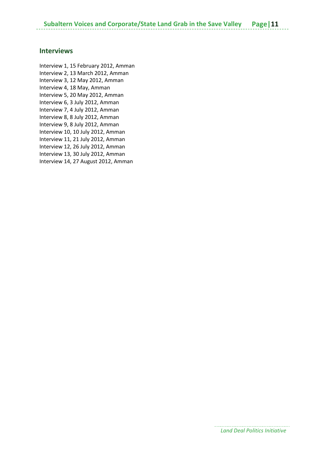#### **Interviews**

Interview 1, 15 February 2012, Amman Interview 2, 13 March 2012, Amman Interview 3, 12 May 2012, Amman Interview 4, 18 May, Amman Interview 5, 20 May 2012, Amman Interview 6, 3 July 2012, Amman Interview 7, 4 July 2012, Amman Interview 8, 8 July 2012, Amman Interview 9, 8 July 2012, Amman Interview 10, 10 July 2012, Amman Interview 11, 21 July 2012, Amman Interview 12, 26 July 2012, Amman Interview 13, 30 July 2012, Amman Interview 14, 27 August 2012, Amman